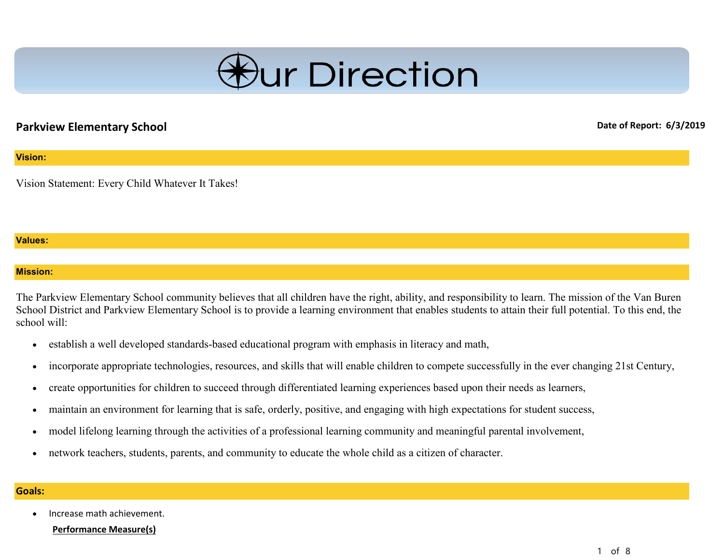

# **Parkview Elementary School Date of Report: 6/3/2019 Date of Report: 6/3/2019**

# **Vision:**

Vision Statement: Every Child Whatever It Takes!

## **Values:**

## **Mission:**

The Parkview Elementary School community believes that all children have the right, ability, and responsibility to learn. The mission of the Van Buren School District and Parkview Elementary School is to provide a learning environment that enables students to attain their full potential. To this end, the school will:

- establish a well developed standards-based educational program with emphasis in literacy and math,
- incorporate appropriate technologies, resources, and skills that will enable children to compete successfully in the ever changing 21st Century,
- create opportunities for children to succeed through differentiated learning experiences based upon their needs as learners,
- maintain an environment for learning that is safe, orderly, positive, and engaging with high expectations for student success,
- model lifelong learning through the activities of a professional learning community and meaningful parental involvement,
- network teachers, students, parents, and community to educate the whole child as a citizen of character.

## **Goals:**

• Increase math achievement.

**Performance Measure(s)**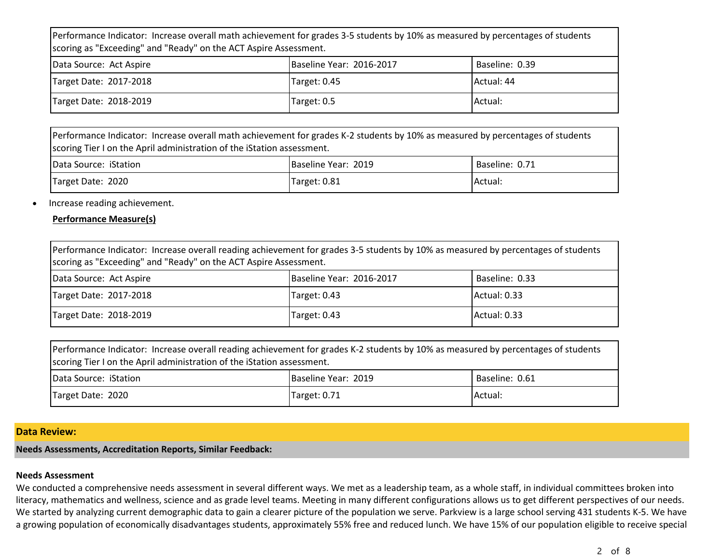Performance Indicator: Increase overall math achievement for grades 3-5 students by 10% as measured by percentages of students scoring as "Exceeding" and "Ready" on the ACT Aspire Assessment.

| Data Source: Act Aspire | Baseline Year: 2016-2017 | Baseline: 0.39 |
|-------------------------|--------------------------|----------------|
| Target Date: 2017-2018  | Target: 0.45             | Actual: 44     |
| Target Date: 2018-2019  | Target: 0.5              | <b>Actual:</b> |

Performance Indicator: Increase overall math achievement for grades K-2 students by 10% as measured by percentages of students scoring Tier I on the April administration of the iStation assessment.

| Data Source: iStation | Baseline Year: 2019 | Baseline: 0.71 |
|-----------------------|---------------------|----------------|
| Target Date: 2020     | Target: 0.81        | Actual:        |

• Increase reading achievement.

# **Performance Measure(s)**

| Performance Indicator: Increase overall reading achievement for grades 3-5 students by 10% as measured by percentages of students<br>scoring as "Exceeding" and "Ready" on the ACT Aspire Assessment. |                          |                |  |  |
|-------------------------------------------------------------------------------------------------------------------------------------------------------------------------------------------------------|--------------------------|----------------|--|--|
| Data Source: Act Aspire                                                                                                                                                                               | Baseline Year: 2016-2017 | Baseline: 0.33 |  |  |
| Target Date: 2017-2018                                                                                                                                                                                | Target: 0.43             | Actual: 0.33   |  |  |
| Target Date: 2018-2019<br>Actual: 0.33<br>Target: 0.43                                                                                                                                                |                          |                |  |  |

| Performance Indicator: Increase overall reading achievement for grades K-2 students by 10% as measured by percentages of students<br>scoring Tier I on the April administration of the iStation assessment. |  |  |  |
|-------------------------------------------------------------------------------------------------------------------------------------------------------------------------------------------------------------|--|--|--|
| Baseline Year: 2019<br>Baseline: 0.61<br>Data Source: iStation                                                                                                                                              |  |  |  |
| Target Date: 2020<br><b>Actual:</b><br>Target: 0.71                                                                                                                                                         |  |  |  |

## **Data Review:**

# **Needs Assessments, Accreditation Reports, Similar Feedback:**

#### **Needs Assessment**

We conducted a comprehensive needs assessment in several different ways. We met as a leadership team, as a whole staff, in individual committees broken into literacy, mathematics and wellness, science and as grade level teams. Meeting in many different configurations allows us to get different perspectives of our needs. We started by analyzing current demographic data to gain a clearer picture of the population we serve. Parkview is a large school serving 431 students K-5. We have a growing population of economically disadvantages students, approximately 55% free and reduced lunch. We have 15% of our population eligible to receive special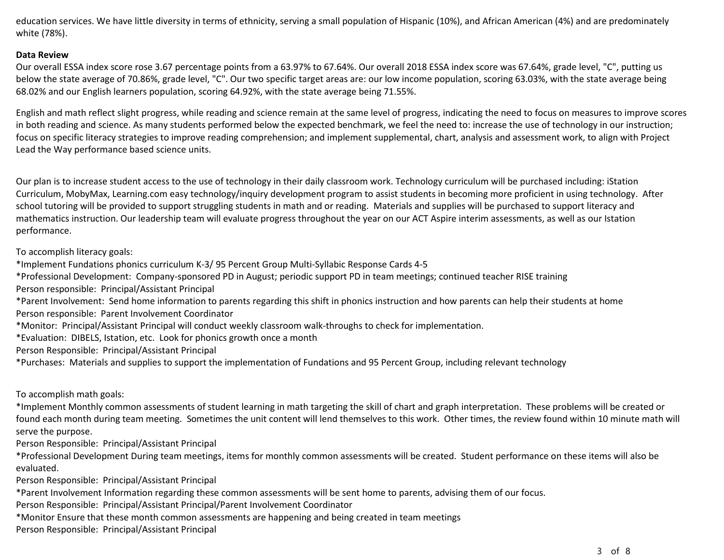education services. We have little diversity in terms of ethnicity, serving a small population of Hispanic (10%), and African American (4%) and are predominately white (78%).

## **Data Review**

Our overall ESSA index score rose 3.67 percentage points from a 63.97% to 67.64%. Our overall 2018 ESSA index score was 67.64%, grade level, "C", putting us below the state average of 70.86%, grade level, "C". Our two specific target areas are: our low income population, scoring 63.03%, with the state average being 68.02% and our English learners population, scoring 64.92%, with the state average being 71.55%.

English and math reflect slight progress, while reading and science remain at the same level of progress, indicating the need to focus on measures to improve scores in both reading and science. As many students performed below the expected benchmark, we feel the need to: increase the use of technology in our instruction; focus on specific literacy strategies to improve reading comprehension; and implement supplemental, chart, analysis and assessment work, to align with Project Lead the Way performance based science units.

Our plan is to increase student access to the use of technology in their daily classroom work. Technology curriculum will be purchased including: iStation Curriculum, MobyMax, Learning.com easy technology/inquiry development program to assist students in becoming more proficient in using technology. After school tutoring will be provided to support struggling students in math and or reading. Materials and supplies will be purchased to support literacy and mathematics instruction. Our leadership team will evaluate progress throughout the year on our ACT Aspire interim assessments, as well as our Istation performance.

To accomplish literacy goals:

\*Implement Fundations phonics curriculum K-3/ 95 Percent Group Multi-Syllabic Response Cards 4-5

\*Professional Development: Company-sponsored PD in August; periodic support PD in team meetings; continued teacher RISE training Person responsible: Principal/Assistant Principal

\*Parent Involvement: Send home information to parents regarding this shift in phonics instruction and how parents can help their students at home

Person responsible: Parent Involvement Coordinator

\*Monitor: Principal/Assistant Principal will conduct weekly classroom walk-throughs to check for implementation.

\*Evaluation: DIBELS, Istation, etc. Look for phonics growth once a month

Person Responsible: Principal/Assistant Principal

\*Purchases: Materials and supplies to support the implementation of Fundations and 95 Percent Group, including relevant technology

To accomplish math goals:

\*Implement Monthly common assessments of student learning in math targeting the skill of chart and graph interpretation. These problems will be created or found each month during team meeting. Sometimes the unit content will lend themselves to this work. Other times, the review found within 10 minute math will serve the purpose.

Person Responsible: Principal/Assistant Principal

\*Professional Development During team meetings, items for monthly common assessments will be created. Student performance on these items will also be evaluated.

Person Responsible: Principal/Assistant Principal

\*Parent Involvement Information regarding these common assessments will be sent home to parents, advising them of our focus.

Person Responsible: Principal/Assistant Principal/Parent Involvement Coordinator

\*Monitor Ensure that these month common assessments are happening and being created in team meetings

Person Responsible: Principal/Assistant Principal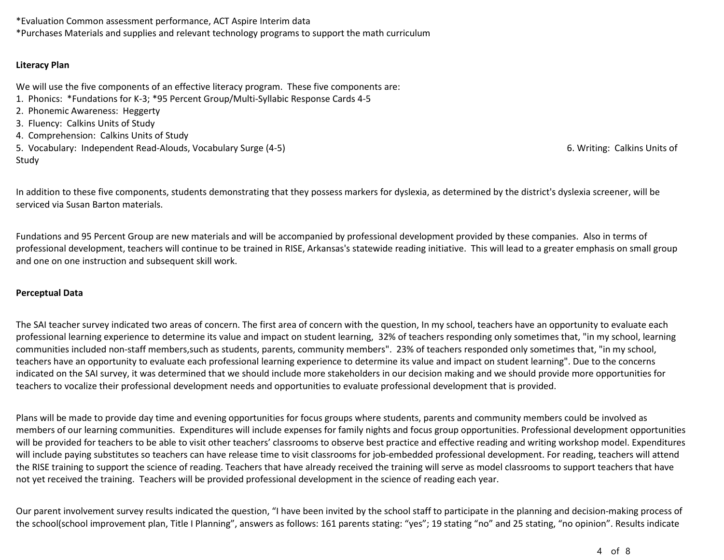\*Evaluation Common assessment performance, ACT Aspire Interim data

\*Purchases Materials and supplies and relevant technology programs to support the math curriculum

# **Literacy Plan**

We will use the five components of an effective literacy program. These five components are:

- 1. Phonics: \*Fundations for K-3; \*95 Percent Group/Multi-Syllabic Response Cards 4-5
- 2. Phonemic Awareness: Heggerty
- 3. Fluency: Calkins Units of Study
- 4. Comprehension: Calkins Units of Study
- 5. Vocabulary: Independent Read-Alouds, Vocabulary Surge (4-5) 6. Writing: Calkins Units of Study

In addition to these five components, students demonstrating that they possess markers for dyslexia, as determined by the district's dyslexia screener, will be serviced via Susan Barton materials.

Fundations and 95 Percent Group are new materials and will be accompanied by professional development provided by these companies. Also in terms of professional development, teachers will continue to be trained in RISE, Arkansas's statewide reading initiative. This will lead to a greater emphasis on small group and one on one instruction and subsequent skill work.

# **Perceptual Data**

The SAI teacher survey indicated two areas of concern. The first area of concern with the question, In my school, teachers have an opportunity to evaluate each professional learning experience to determine its value and impact on student learning, 32% of teachers responding only sometimes that, "in my school, learning communities included non-staff members,such as students, parents, community members". 23% of teachers responded only sometimes that, "in my school, teachers have an opportunity to evaluate each professional learning experience to determine its value and impact on student learning". Due to the concerns indicated on the SAI survey, it was determined that we should include more stakeholders in our decision making and we should provide more opportunities for teachers to vocalize their professional development needs and opportunities to evaluate professional development that is provided.

Plans will be made to provide day time and evening opportunities for focus groups where students, parents and community members could be involved as members of our learning communities. Expenditures will include expenses for family nights and focus group opportunities. Professional development opportunities will be provided for teachers to be able to visit other teachers' classrooms to observe best practice and effective reading and writing workshop model. Expenditures will include paying substitutes so teachers can have release time to visit classrooms for job-embedded professional development. For reading, teachers will attend the RISE training to support the science of reading. Teachers that have already received the training will serve as model classrooms to support teachers that have not yet received the training. Teachers will be provided professional development in the science of reading each year.

Our parent involvement survey results indicated the question, "I have been invited by the school staff to participate in the planning and decision-making process of the school(school improvement plan, Title I Planning", answers as follows: 161 parents stating: "yes"; 19 stating "no" and 25 stating, "no opinion". Results indicate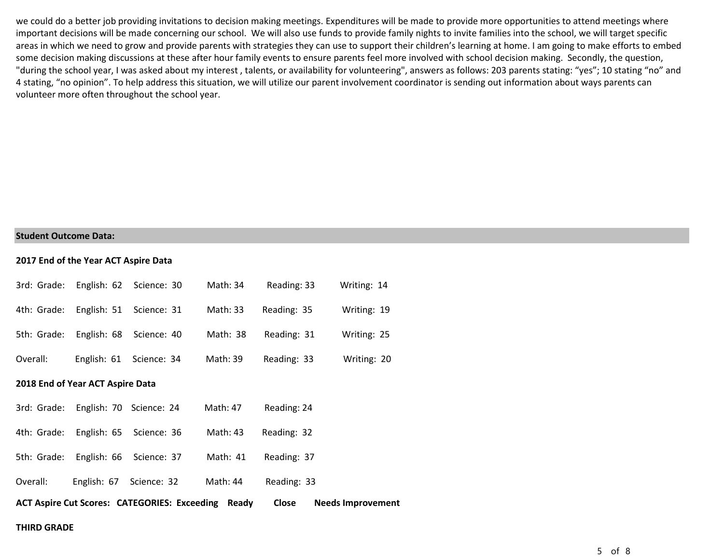we could do a better job providing invitations to decision making meetings. Expenditures will be made to provide more opportunities to attend meetings where important decisions will be made concerning our school. We will also use funds to provide family nights to invite families into the school, we will target specific areas in which we need to grow and provide parents with strategies they can use to support their children's learning at home. I am going to make efforts to embed some decision making discussions at these after hour family events to ensure parents feel more involved with school decision making. Secondly, the question, "during the school year, I was asked about my interest , talents, or availability for volunteering", answers as follows: 203 parents stating: "yes"; 10 stating "no" and 4 stating, "no opinion". To help address this situation, we will utilize our parent involvement coordinator is sending out information about ways parents can volunteer more often throughout the school year.

#### **Student Outcome Data:**

#### **2017 End of the Year ACT Aspire Data**

|          |                                     | 3rd: Grade: English: 62 Science: 30 | Math: 34                                                  | Reading: 33 | Writing: 14              |
|----------|-------------------------------------|-------------------------------------|-----------------------------------------------------------|-------------|--------------------------|
|          |                                     | 4th: Grade: English: 51 Science: 31 | Math: 33                                                  | Reading: 35 | Writing: 19              |
|          |                                     | 5th: Grade: English: 68 Science: 40 | Math: 38                                                  | Reading: 31 | Writing: 25              |
| Overall: |                                     | English: 61 Science: 34             | Math: 39                                                  | Reading: 33 | Writing: 20              |
|          | 2018 End of Year ACT Aspire Data    |                                     |                                                           |             |                          |
|          | 3rd: Grade: English: 70 Science: 24 |                                     | Math: 47                                                  | Reading: 24 |                          |
|          |                                     | 4th: Grade: English: 65 Science: 36 | Math: 43                                                  | Reading: 32 |                          |
|          |                                     | 5th: Grade: English: 66 Science: 37 | Math: 41                                                  | Reading: 37 |                          |
| Overall: |                                     | English: 67 Science: 32             | Math: 44                                                  | Reading: 33 |                          |
|          |                                     |                                     | <b>ACT Aspire Cut Scores: CATEGORIES: Exceeding Ready</b> | Close       | <b>Needs Improvement</b> |

#### **THIRD GRADE**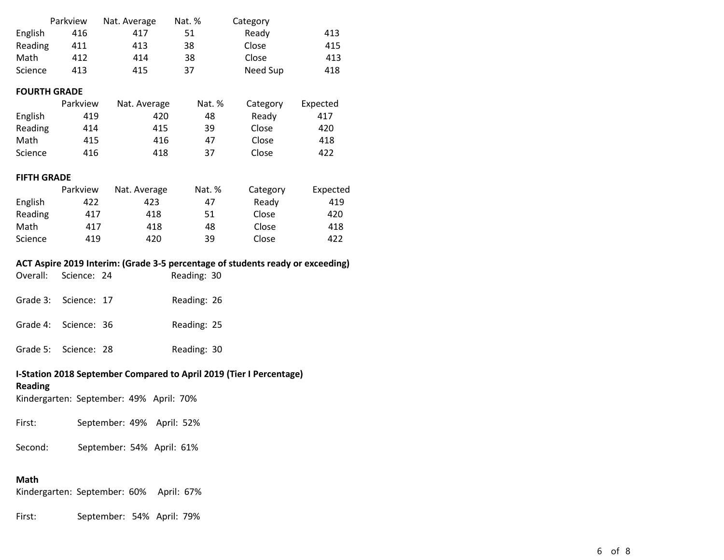|         | Parkview | Nat. Average | Nat. % | Category |     |
|---------|----------|--------------|--------|----------|-----|
| English | 416      | 417          | 51     | Ready    | 413 |
| Reading | 411      | 413          | 38     | Close    | 415 |
| Math    | 412      | 414          | 38     | Close    | 413 |
| Science | 413      | 415          | 37     | Need Sup | 418 |

# **FOURTH GRADE**

|         | Parkview | Nat. Average | Nat. % | Category | Expected |
|---------|----------|--------------|--------|----------|----------|
| English | 419      | 420          | 48     | Ready    | 417      |
| Reading | 414      | 415          | 39     | Close    | 420      |
| Math    | 415      | 416          | 47     | Close    | 418      |
| Science | 416      | 418          | 37     | Close    | 422      |

# **FIFTH GRADE**

|         | Parkview | Nat. Average | Nat. % | Category | Expected |
|---------|----------|--------------|--------|----------|----------|
| English | 422      | 423          | 47     | Ready    | 419      |
| Reading | 417      | 418          | 51     | Close    | 420      |
| Math    | 417      | 418          | 48     | Close    | 418      |
| Science | 419      | 420          | 39     | Close    | 422      |

## **ACT Aspire 2019 Interim: (Grade 3-5 percentage of students ready or exceeding)**

| Overall: Science: 24 |  | Reading: 30 |  |
|----------------------|--|-------------|--|
| Grade 3: Science: 17 |  | Reading: 26 |  |

| Grade 4: Science: 36 |  | Reading: 25 |  |
|----------------------|--|-------------|--|
|----------------------|--|-------------|--|

Grade 5: Science: 28 Reading: 30

# **I-Station 2018 September Compared to April 2019 (Tier I Percentage)**

# **Reading**

Kindergarten: September: 49% April: 70%

First: September: 49% April: 52%

Second: September: 54% April: 61%

# **Math**

Kindergarten: September: 60% April: 67%

First: September: 54% April: 79%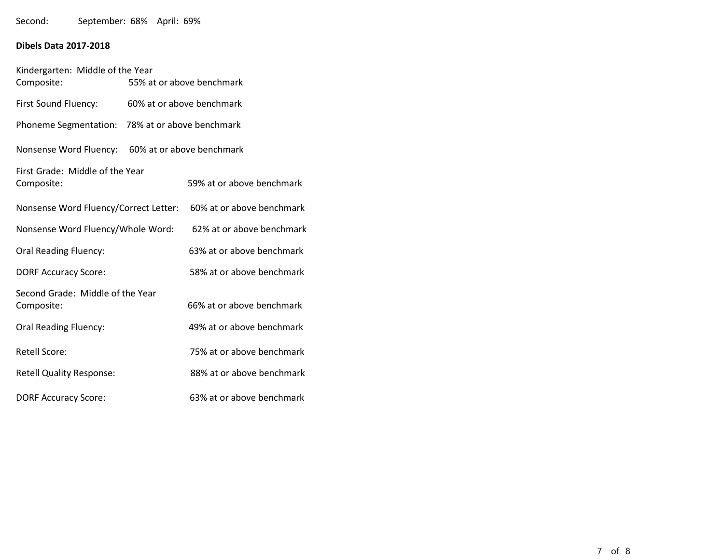Second: September: 68% April: 69%

# **Dibels Data 2017-2018**

| Kindergarten: Middle of the Year<br>Composite:   |                           | 55% at or above benchmark                                       |
|--------------------------------------------------|---------------------------|-----------------------------------------------------------------|
| First Sound Fluency:                             | 60% at or above benchmark |                                                                 |
| Phoneme Segmentation: 78% at or above benchmark  |                           |                                                                 |
| Nonsense Word Fluency: 60% at or above benchmark |                           |                                                                 |
| First Grade: Middle of the Year<br>Composite:    |                           | 59% at or above benchmark                                       |
|                                                  |                           | Nonsense Word Fluency/Correct Letter: 60% at or above benchmark |
| Nonsense Word Fluency/Whole Word:                |                           | 62% at or above benchmark                                       |
| <b>Oral Reading Fluency:</b>                     |                           | 63% at or above benchmark                                       |
| <b>DORF Accuracy Score:</b>                      |                           | 58% at or above benchmark                                       |
| Second Grade: Middle of the Year<br>Composite:   |                           | 66% at or above benchmark                                       |
| Oral Reading Fluency:                            |                           | 49% at or above benchmark                                       |
| <b>Retell Score:</b>                             |                           | 75% at or above benchmark                                       |
| <b>Retell Quality Response:</b>                  |                           | 88% at or above benchmark                                       |
| <b>DORF Accuracy Score:</b>                      |                           | 63% at or above benchmark                                       |